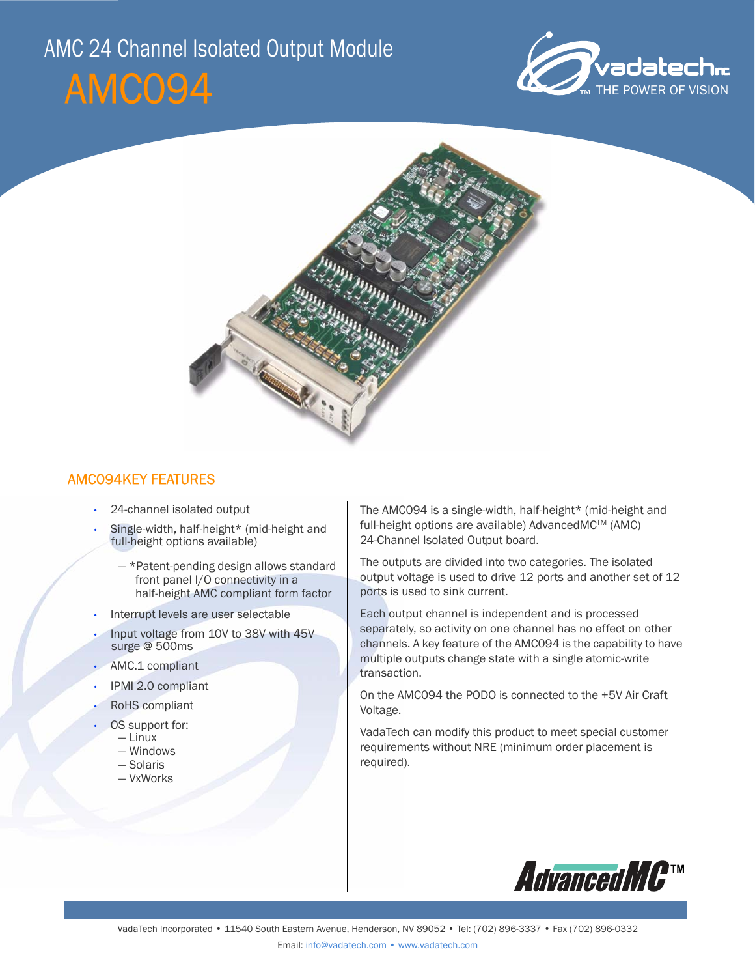# AMC094 AMC 24 Channel Isolated Output Module





# AMC094KEY FEATURES

- 24-channel isolated output
- Single-width, half-height\* (mid-height and full-height options available)
	- \*Patent-pending design allows standard front panel I/O connectivity in a half-height AMC compliant form factor
- Interrupt levels are user selectable
- Input voltage from 10V to 38V with 45V surge @ 500ms
- AMC.1 compliant
- IPMI 2.0 compliant
- RoHS compliant
- OS support for:
	- Linux
	- Windows
	- Solaris
	- VxWorks

The AMC094 is a single-width, half-height\* (mid-height and full-height options are available) AdvancedMC™ (AMC) 24-Channel Isolated Output board.

The outputs are divided into two categories. The isolated output voltage is used to drive 12 ports and another set of 12 ports is used to sink current.

Each output channel is independent and is processed separately, so activity on one channel has no effect on other channels. A key feature of the AMC094 is the capability to have multiple outputs change state with a single atomic-write transaction.

On the AMC094 the PODO is connected to the +5V Air Craft Voltage.

VadaTech can modify this product to meet special customer requirements without NRE (minimum order placement is required).

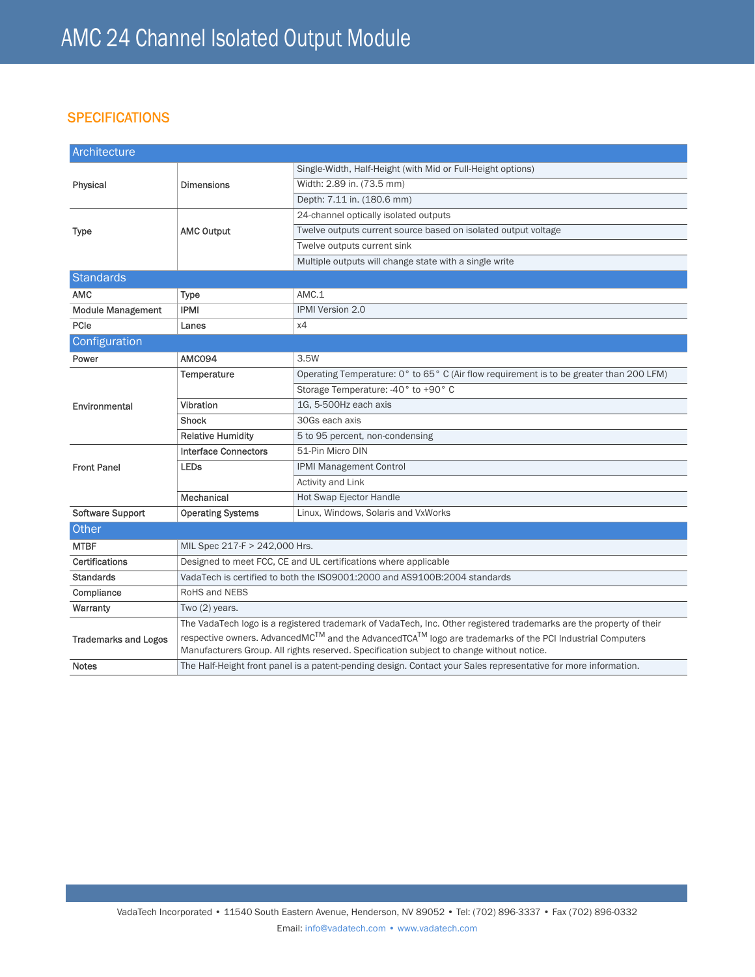# **SPECIFICATIONS**

| Architecture                |                                                                                                                                   |                                                                                         |
|-----------------------------|-----------------------------------------------------------------------------------------------------------------------------------|-----------------------------------------------------------------------------------------|
| Physical                    | <b>Dimensions</b>                                                                                                                 | Single-Width, Half-Height (with Mid or Full-Height options)                             |
|                             |                                                                                                                                   | Width: 2.89 in. (73.5 mm)                                                               |
|                             |                                                                                                                                   | Depth: 7.11 in. (180.6 mm)                                                              |
| Type                        | <b>AMC Output</b>                                                                                                                 | 24-channel optically isolated outputs                                                   |
|                             |                                                                                                                                   | Twelve outputs current source based on isolated output voltage                          |
|                             |                                                                                                                                   | Twelve outputs current sink                                                             |
|                             |                                                                                                                                   | Multiple outputs will change state with a single write                                  |
| <b>Standards</b>            |                                                                                                                                   |                                                                                         |
| <b>AMC</b>                  | <b>Type</b>                                                                                                                       | AMC.1                                                                                   |
| <b>Module Management</b>    | <b>IPMI</b>                                                                                                                       | IPMI Version 2.0                                                                        |
| PCIe                        | Lanes                                                                                                                             | х4                                                                                      |
| Configuration               |                                                                                                                                   |                                                                                         |
| Power                       | AMCO94                                                                                                                            | 3.5W                                                                                    |
| Environmental               | Temperature                                                                                                                       | Operating Temperature: 0° to 65° C (Air flow requirement is to be greater than 200 LFM) |
|                             |                                                                                                                                   | Storage Temperature: -40° to +90° C                                                     |
|                             | Vibration                                                                                                                         | 1G, 5-500Hz each axis                                                                   |
|                             | <b>Shock</b>                                                                                                                      | 30Gs each axis                                                                          |
|                             | <b>Relative Humidity</b>                                                                                                          | 5 to 95 percent, non-condensing                                                         |
| <b>Front Panel</b>          | <b>Interface Connectors</b>                                                                                                       | 51-Pin Micro DIN                                                                        |
|                             | <b>LEDs</b>                                                                                                                       | <b>IPMI Management Control</b>                                                          |
|                             |                                                                                                                                   | <b>Activity and Link</b>                                                                |
|                             | Mechanical                                                                                                                        | Hot Swap Ejector Handle                                                                 |
| <b>Software Support</b>     | <b>Operating Systems</b>                                                                                                          | Linux, Windows, Solaris and VxWorks                                                     |
| Other                       |                                                                                                                                   |                                                                                         |
| <b>MTBF</b>                 | MIL Spec 217-F > 242,000 Hrs.                                                                                                     |                                                                                         |
| Certifications              | Designed to meet FCC, CE and UL certifications where applicable                                                                   |                                                                                         |
| <b>Standards</b>            | VadaTech is certified to both the ISO9001:2000 and AS9100B:2004 standards                                                         |                                                                                         |
| Compliance                  | RoHS and NEBS                                                                                                                     |                                                                                         |
| Warranty                    | Two (2) years.                                                                                                                    |                                                                                         |
| <b>Trademarks and Logos</b> | The VadaTech logo is a registered trademark of VadaTech, Inc. Other registered trademarks are the property of their               |                                                                                         |
|                             | respective owners. AdvancedMC <sup>TM</sup> and the AdvancedTCA <sup>TM</sup> logo are trademarks of the PCI Industrial Computers |                                                                                         |
|                             | Manufacturers Group. All rights reserved. Specification subject to change without notice.                                         |                                                                                         |
| <b>Notes</b>                | The Half-Height front panel is a patent-pending design. Contact your Sales representative for more information.                   |                                                                                         |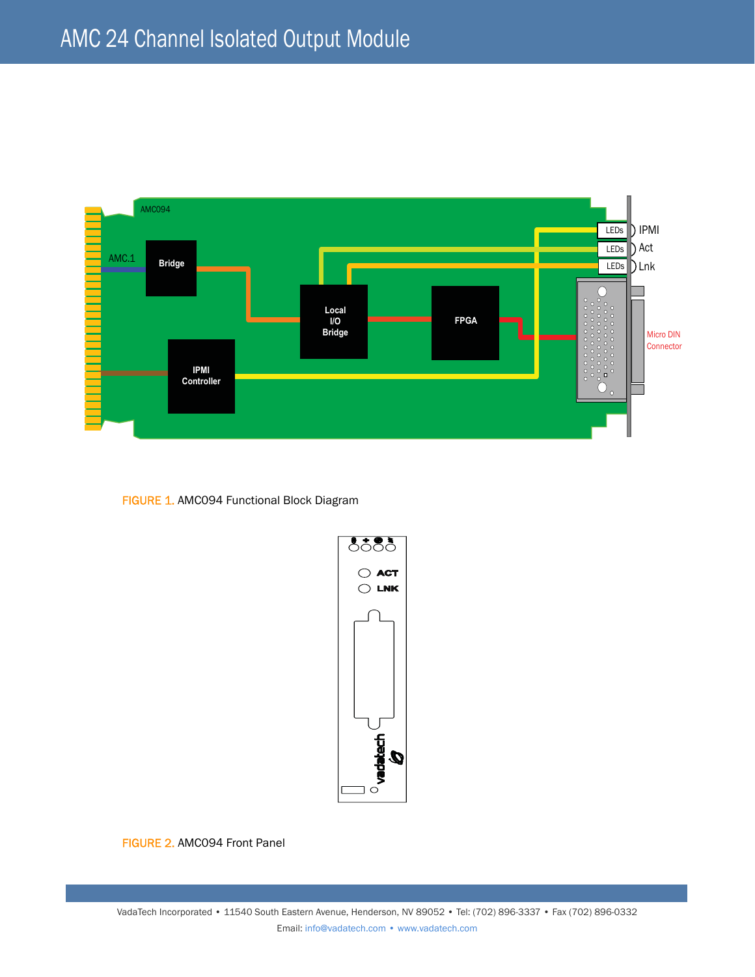

FIGURE 1. AMC094 Functional Block Diagram



FIGURE 2. AMC094 Front Panel